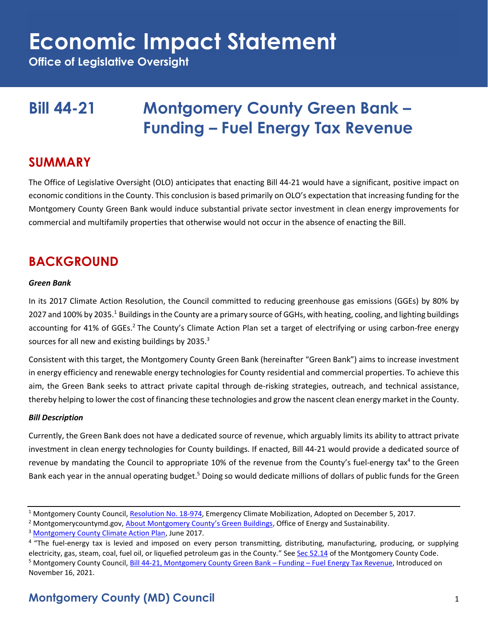**Office of Legislative Oversight**

# **Bill 44-21 Montgomery County Green Bank – Funding – Fuel Energy Tax Revenue**

### **SUMMARY**

The Office of Legislative Oversight (OLO) anticipates that enacting Bill 44-21 would have a significant, positive impact on economic conditions in the County. This conclusion is based primarily on OLO's expectation that increasing funding for the Montgomery County Green Bank would induce substantial private sector investment in clean energy improvements for commercial and multifamily properties that otherwise would not occur in the absence of enacting the Bill.

## **BACKGROUND**

#### *Green Bank*

In its 2017 Climate Action Resolution, the Council committed to reducing greenhouse gas emissions (GGEs) by 80% by 2027 and 100% by 2035.<sup>1</sup> Buildings in the County are a primary source of GGHs, with heating, cooling, and lighting buildings accounting for 41% of GGEs.<sup>2</sup> The County's Climate Action Plan set a target of electrifying or using carbon-free energy sources for all new and existing buildings by 2035.<sup>3</sup>

Consistent with this target, the Montgomery County Green Bank (hereinafter "Green Bank") aims to increase investment in energy efficiency and renewable energy technologies for County residential and commercial properties. To achieve this aim, the Green Bank seeks to attract private capital through de-risking strategies, outreach, and technical assistance, thereby helping to lower the cost of financing these technologies and grow the nascent clean energy market in the County.

#### *Bill Description*

Currently, the Green Bank does not have a dedicated source of revenue, which arguably limits its ability to attract private investment in clean energy technologies for County buildings. If enacted, Bill 44-21 would provide a dedicated source of revenue by mandating the Council to appropriate 10% of the revenue from the County's fuel-energy tax<sup>4</sup> to the Green Bank each year in the annual operating budget.<sup>5</sup> Doing so would dedicate millions of dollars of public funds for the Green

<sup>&</sup>lt;sup>1</sup> Montgomery County Council, [Resolution No. 18-974,](https://www.montgomerycountymd.gov/green/Resources/Files/climate/Montgomery-County-Climate-Action-Resolution.pdf) Emergency Climate Mobilization, Adopted on December 5, 2017.

<sup>&</sup>lt;sup>2</sup> Montgomerycountymd.gov, [About Montgomery County](https://www.montgomerycountymd.gov/dgs-oes/GreenBuildings.html)'s Green Buildings, Office of Energy and Sustainability.

<sup>&</sup>lt;sup>3</sup> [Montgomery County Climate Action Plan,](https://www.montgomerycountymd.gov/green/Resources/Files/climate/climate-action-plan.pdf) June 2017.

<sup>&</sup>lt;sup>4</sup> "The fuel-energy tax is levied and imposed on every person transmitting, distributing, manufacturing, producing, or supplying electricity, gas, steam, coal, fuel oil, or liquefied petroleum gas in the County." Se[e Sec 52.14](https://codelibrary.amlegal.com/codes/montgomerycounty/latest/montgomeryco_md/0-0-0-24995) of the Montgomery County Code. <sup>5</sup> Montgomery County Council, [Bill 44-21, Montgomery County Green Bank](file:///C:/Users/Roblis01/AppData/Roaming/Microsoft/Word/Montgomery%20County%20Green%20Bank%20–%20Funding%20–%20Fuel%20Energy%20Tax%20Revenue) – Funding – Fuel Energy Tax Revenue, Introduced on November 16, 2021.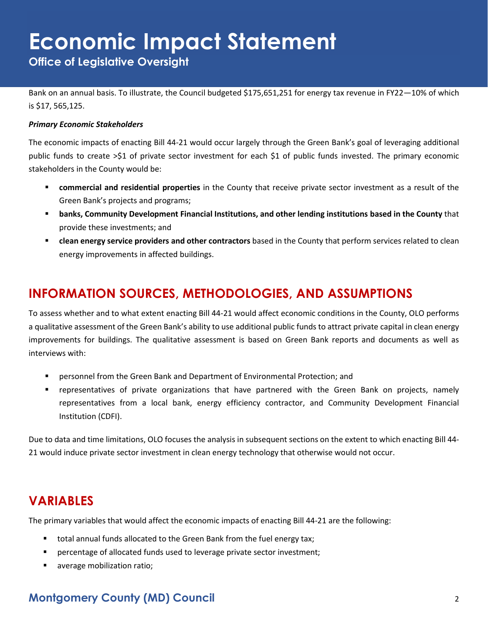**Office of Legislative Oversight**

Bank on an annual basis. To illustrate, the Council budgeted \$175,651,251 for energy tax revenue in FY22—10% of which is \$17, 565,125.

#### *Primary Economic Stakeholders*

The economic impacts of enacting Bill 44-21 would occur largely through the Green Bank's goal of leveraging additional public funds to create >\$1 of private sector investment for each \$1 of public funds invested. The primary economic stakeholders in the County would be:

- **commercial and residential properties** in the County that receive private sector investment as a result of the Green Bank's projects and programs;
- **banks, Community Development Financial Institutions, and other lending institutions based in the County** that provide these investments; and
- **clean energy service providers and other contractors** based in the County that perform services related to clean energy improvements in affected buildings.

# **INFORMATION SOURCES, METHODOLOGIES, AND ASSUMPTIONS**

To assess whether and to what extent enacting Bill 44-21 would affect economic conditions in the County, OLO performs a qualitative assessment of the Green Bank's ability to use additional public funds to attract private capital in clean energy improvements for buildings. The qualitative assessment is based on Green Bank reports and documents as well as interviews with:

- **•** personnel from the Green Bank and Department of Environmental Protection; and
- representatives of private organizations that have partnered with the Green Bank on projects, namely representatives from a local bank, energy efficiency contractor, and Community Development Financial Institution (CDFI).

Due to data and time limitations, OLO focuses the analysis in subsequent sections on the extent to which enacting Bill 44- 21 would induce private sector investment in clean energy technology that otherwise would not occur.

### **VARIABLES**

The primary variables that would affect the economic impacts of enacting Bill 44-21 are the following:

- total annual funds allocated to the Green Bank from the fuel energy tax;
- percentage of allocated funds used to leverage private sector investment;
- average mobilization ratio;

#### **Montgomery County (MD) Council** 2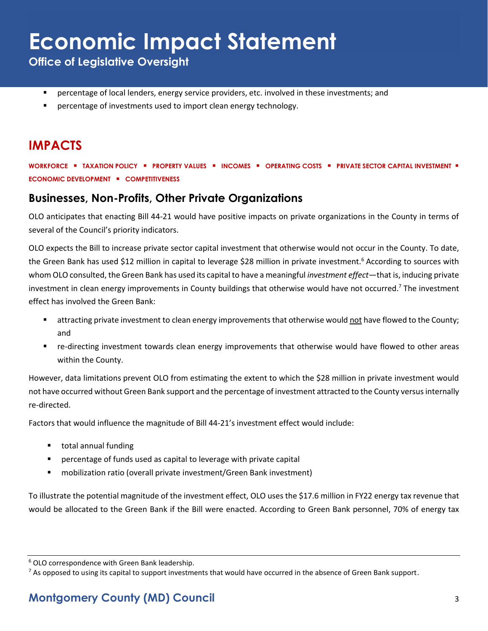**Office of Legislative Oversight**

- **•** percentage of local lenders, energy service providers, etc. involved in these investments; and
- percentage of investments used to import clean energy technology.

## **IMPACTS**

**WORKFORCE** ▪ **TAXATION POLICY** ▪ **PROPERTY VALUES** ▪ **INCOMES** ▪ **OPERATING COSTS** ▪ **PRIVATE SECTOR CAPITAL INVESTMENT** ▪ **ECONOMIC DEVELOPMENT** ▪ **COMPETITIVENESS**

#### **Businesses, Non-Profits, Other Private Organizations**

OLO anticipates that enacting Bill 44-21 would have positive impacts on private organizations in the County in terms of several of the Council's priority indicators.

OLO expects the Bill to increase private sector capital investment that otherwise would not occur in the County. To date, the Green Bank has used \$12 million in capital to leverage \$28 million in private investment.<sup>6</sup> According to sources with whom OLO consulted, the Green Bank has used its capital to have a meaningful *investment effect*—that is, inducing private investment in clean energy improvements in County buildings that otherwise would have not occurred.<sup>7</sup> The investment effect has involved the Green Bank:

- attracting private investment to clean energy improvements that otherwise would not have flowed to the County; and
- re-directing investment towards clean energy improvements that otherwise would have flowed to other areas within the County.

However, data limitations prevent OLO from estimating the extent to which the \$28 million in private investment would not have occurred without Green Bank support and the percentage of investment attracted to the County versusinternally re-directed.

Factors that would influence the magnitude of Bill 44-21's investment effect would include:

- total annual funding
- percentage of funds used as capital to leverage with private capital
- mobilization ratio (overall private investment/Green Bank investment)

To illustrate the potential magnitude of the investment effect, OLO uses the \$17.6 million in FY22 energy tax revenue that would be allocated to the Green Bank if the Bill were enacted. According to Green Bank personnel, 70% of energy tax

<sup>6</sup> OLO correspondence with Green Bank leadership.

 $7$  As opposed to using its capital to support investments that would have occurred in the absence of Green Bank support.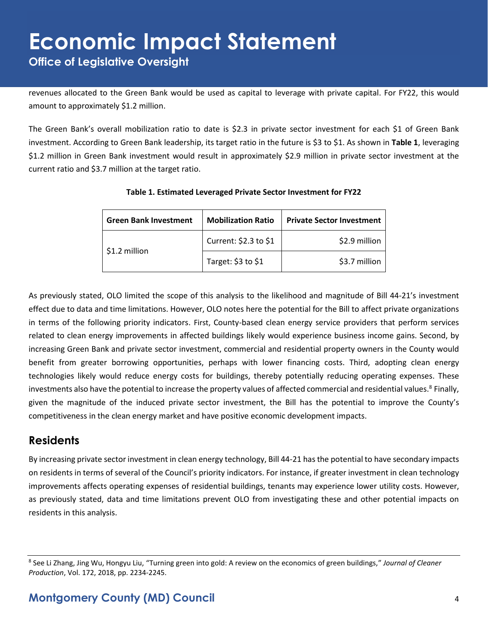# **Economic Impact Statement Office of Legislative Oversight**

revenues allocated to the Green Bank would be used as capital to leverage with private capital. For FY22, this would amount to approximately \$1.2 million.

The Green Bank's overall mobilization ratio to date is \$2.3 in private sector investment for each \$1 of Green Bank investment. According to Green Bank leadership, its target ratio in the future is \$3 to \$1. As shown in **Table 1**, leveraging \$1.2 million in Green Bank investment would result in approximately \$2.9 million in private sector investment at the current ratio and \$3.7 million at the target ratio.

| <b>Green Bank Investment</b> | <b>Mobilization Ratio</b> | <b>Private Sector Investment</b> |
|------------------------------|---------------------------|----------------------------------|
| \$1.2 million                | Current: \$2.3 to \$1     | \$2.9 million                    |
|                              | Target: \$3 to \$1        | \$3.7 million                    |

#### **Table 1. Estimated Leveraged Private Sector Investment for FY22**

As previously stated, OLO limited the scope of this analysis to the likelihood and magnitude of Bill 44-21's investment effect due to data and time limitations. However, OLO notes here the potential for the Bill to affect private organizations in terms of the following priority indicators. First, County-based clean energy service providers that perform services related to clean energy improvements in affected buildings likely would experience business income gains. Second, by increasing Green Bank and private sector investment, commercial and residential property owners in the County would benefit from greater borrowing opportunities, perhaps with lower financing costs. Third, adopting clean energy technologies likely would reduce energy costs for buildings, thereby potentially reducing operating expenses. These investments also have the potential to increase the property values of affected commercial and residential values.<sup>8</sup> Finally, given the magnitude of the induced private sector investment, the Bill has the potential to improve the County's competitiveness in the clean energy market and have positive economic development impacts.

#### **Residents**

By increasing private sector investment in clean energy technology, Bill 44-21 has the potential to have secondary impacts on residents in terms of several of the Council's priority indicators. For instance, if greater investment in clean technology improvements affects operating expenses of residential buildings, tenants may experience lower utility costs. However, as previously stated, data and time limitations prevent OLO from investigating these and other potential impacts on residents in this analysis.

<sup>8</sup> See Li Zhang, Jing Wu, Hongyu Liu, "Turning green into gold: A review on the economics of green buildings," *Journal of Cleaner Production*, Vol. 172, 2018, pp. 2234-2245.